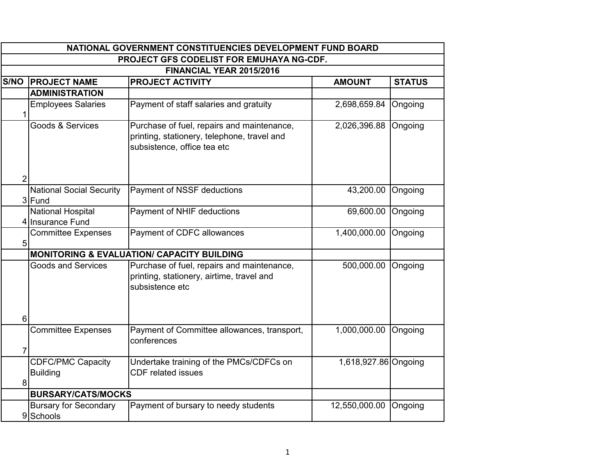|                | NATIONAL GOVERNMENT CONSTITUENCIES DEVELOPMENT FUND BOARD |                                                                                                                          |                      |               |
|----------------|-----------------------------------------------------------|--------------------------------------------------------------------------------------------------------------------------|----------------------|---------------|
|                |                                                           | <b>PROJECT GFS CODELIST FOR EMUHAYA NG-CDF.</b>                                                                          |                      |               |
|                |                                                           | FINANCIAL YEAR 2015/2016                                                                                                 |                      |               |
| S/NO           | <b>PROJECT NAME</b>                                       | <b>PROJECT ACTIVITY</b>                                                                                                  | <b>AMOUNT</b>        | <b>STATUS</b> |
|                | <b>ADMINISTRATION</b>                                     |                                                                                                                          |                      |               |
| 1              | <b>Employees Salaries</b>                                 | Payment of staff salaries and gratuity                                                                                   | 2,698,659.84         | Ongoing       |
|                | Goods & Services                                          | Purchase of fuel, repairs and maintenance,<br>printing, stationery, telephone, travel and<br>subsistence, office tea etc | 2,026,396.88         | Ongoing       |
| $\overline{2}$ |                                                           |                                                                                                                          |                      |               |
|                | <b>National Social Security</b><br>3 Fund                 | Payment of NSSF deductions                                                                                               | 43,200.00 Ongoing    |               |
|                | National Hospital<br>4 Insurance Fund                     | Payment of NHIF deductions                                                                                               | 69,600.00            | Ongoing       |
| 5              | <b>Committee Expenses</b>                                 | Payment of CDFC allowances                                                                                               | 1,400,000.00         | Ongoing       |
|                |                                                           | <b>MONITORING &amp; EVALUATION/ CAPACITY BUILDING</b>                                                                    |                      |               |
|                | <b>Goods and Services</b>                                 | Purchase of fuel, repairs and maintenance,<br>printing, stationery, airtime, travel and<br>subsistence etc               | 500,000.00           | Ongoing       |
| 6              |                                                           |                                                                                                                          |                      |               |
| $\overline{7}$ | <b>Committee Expenses</b>                                 | Payment of Committee allowances, transport,<br>conferences                                                               | 1,000,000.00         | Ongoing       |
| 8              | <b>CDFC/PMC Capacity</b><br><b>Building</b>               | Undertake training of the PMCs/CDFCs on<br><b>CDF</b> related issues                                                     | 1,618,927.86 Ongoing |               |
|                | <b>BURSARY/CATS/MOCKS</b>                                 |                                                                                                                          |                      |               |
|                | <b>Bursary for Secondary</b><br>9 Schools                 | Payment of bursary to needy students                                                                                     | 12,550,000.00        | Ongoing       |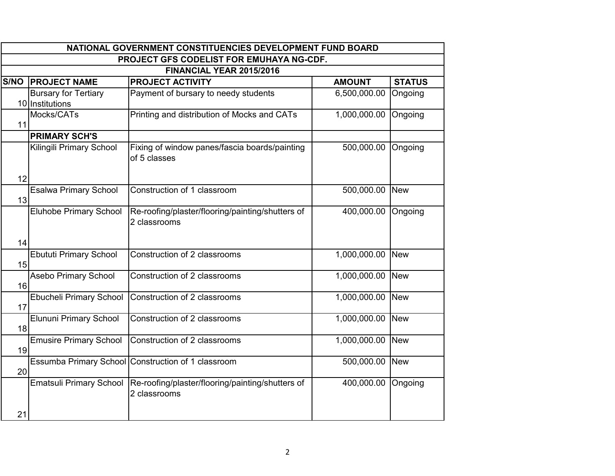|                                                 | NATIONAL GOVERNMENT CONSTITUENCIES DEVELOPMENT FUND BOARD |                                                                  |               |               |
|-------------------------------------------------|-----------------------------------------------------------|------------------------------------------------------------------|---------------|---------------|
| <b>PROJECT GFS CODELIST FOR EMUHAYA NG-CDF.</b> |                                                           |                                                                  |               |               |
|                                                 |                                                           | FINANCIAL YEAR 2015/2016                                         |               |               |
| $\overline{\mathsf{S}}/\mathsf{NO}$             | <b>PROJECT NAME</b>                                       | <b>PROJECT ACTIVITY</b>                                          | <b>AMOUNT</b> | <b>STATUS</b> |
|                                                 | <b>Bursary for Tertiary</b><br>10 Institutions            | Payment of bursary to needy students                             | 6,500,000.00  | Ongoing       |
| 11                                              | Mocks/CATs                                                | Printing and distribution of Mocks and CATs                      | 1,000,000.00  | Ongoing       |
|                                                 | <b>PRIMARY SCH'S</b>                                      |                                                                  |               |               |
|                                                 | Kilingili Primary School                                  | Fixing of window panes/fascia boards/painting<br>of 5 classes    | 500,000.00    | Ongoing       |
| 12                                              |                                                           |                                                                  |               |               |
| 13                                              | <b>Esalwa Primary School</b>                              | Construction of 1 classroom                                      | 500,000.00    | <b>New</b>    |
|                                                 | <b>Eluhobe Primary School</b>                             | Re-roofing/plaster/flooring/painting/shutters of<br>2 classrooms | 400,000.00    | Ongoing       |
| 14                                              |                                                           |                                                                  |               |               |
| 15                                              | <b>Ebututi Primary School</b>                             | Construction of 2 classrooms                                     | 1,000,000.00  | <b>New</b>    |
| 16                                              | <b>Asebo Primary School</b>                               | Construction of 2 classrooms                                     | 1,000,000.00  | <b>New</b>    |
| 17                                              | Ebucheli Primary School                                   | Construction of 2 classrooms                                     | 1,000,000.00  | <b>New</b>    |
| 18                                              | Elununi Primary School                                    | Construction of 2 classrooms                                     | 1,000,000.00  | <b>New</b>    |
| 19                                              | <b>Emusire Primary School</b>                             | Construction of 2 classrooms                                     | 1,000,000.00  | <b>New</b>    |
| 20                                              |                                                           | Essumba Primary School Construction of 1 classroom               | 500,000.00    | <b>New</b>    |
|                                                 | <b>Ematsuli Primary School</b>                            | Re-roofing/plaster/flooring/painting/shutters of<br>2 classrooms | 400,000.00    | Ongoing       |
| 21                                              |                                                           |                                                                  |               |               |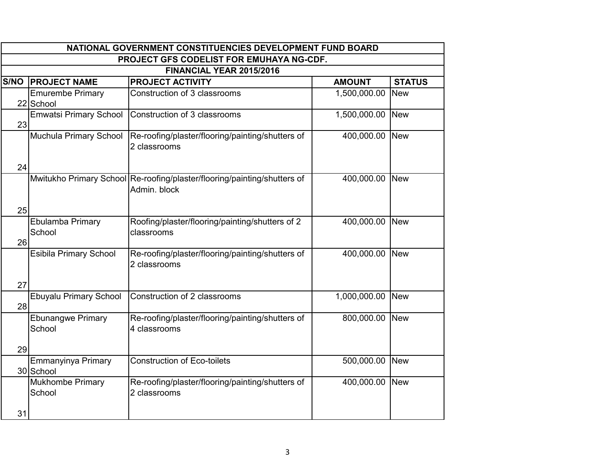| NATIONAL GOVERNMENT CONSTITUENCIES DEVELOPMENT FUND BOARD |                                                                  |                                                                                                                                                                    |                                                               |
|-----------------------------------------------------------|------------------------------------------------------------------|--------------------------------------------------------------------------------------------------------------------------------------------------------------------|---------------------------------------------------------------|
|                                                           |                                                                  |                                                                                                                                                                    |                                                               |
|                                                           | FINANCIAL YEAR 2015/2016                                         |                                                                                                                                                                    |                                                               |
| <b>PROJECT NAME</b>                                       | <b>PROJECT ACTIVITY</b>                                          | <b>AMOUNT</b>                                                                                                                                                      | <b>STATUS</b>                                                 |
| <b>Emurembe Primary</b><br>22 School                      | Construction of 3 classrooms                                     | 1,500,000.00                                                                                                                                                       | <b>New</b>                                                    |
| <b>Emwatsi Primary School</b><br>23                       | Construction of 3 classrooms                                     | 1,500,000.00                                                                                                                                                       | <b>New</b>                                                    |
| Muchula Primary School                                    | 2 classrooms                                                     | 400,000.00 New                                                                                                                                                     |                                                               |
| 24                                                        |                                                                  |                                                                                                                                                                    |                                                               |
|                                                           | Admin, block                                                     | 400,000.00                                                                                                                                                         | New                                                           |
| 25                                                        |                                                                  |                                                                                                                                                                    |                                                               |
| Ebulamba Primary<br>School<br>26                          | Roofing/plaster/flooring/painting/shutters of 2<br>classrooms    | 400,000.00                                                                                                                                                         | <b>New</b>                                                    |
| Esibila Primary School                                    | Re-roofing/plaster/flooring/painting/shutters of<br>2 classrooms | 400,000.00                                                                                                                                                         | <b>New</b>                                                    |
| 27                                                        |                                                                  |                                                                                                                                                                    |                                                               |
| Ebuyalu Primary School<br>28                              | Construction of 2 classrooms                                     | 1,000,000.00                                                                                                                                                       | <b>New</b>                                                    |
| <b>Ebunangwe Primary</b><br>School                        | Re-roofing/plaster/flooring/painting/shutters of<br>4 classrooms | 800,000.00                                                                                                                                                         | <b>New</b>                                                    |
|                                                           |                                                                  |                                                                                                                                                                    |                                                               |
| 30 School                                                 |                                                                  |                                                                                                                                                                    | <b>New</b>                                                    |
| Mukhombe Primary<br>School<br>31                          | Re-roofing/plaster/flooring/painting/shutters of<br>2 classrooms | 400,000.00 New                                                                                                                                                     |                                                               |
|                                                           | 29<br>Emmanyinya Primary                                         | Re-roofing/plaster/flooring/painting/shutters of<br>Mwitukho Primary School Re-roofing/plaster/flooring/painting/shutters of<br><b>Construction of Eco-toilets</b> | <b>PROJECT GFS CODELIST FOR EMUHAYA NG-CDF.</b><br>500,000.00 |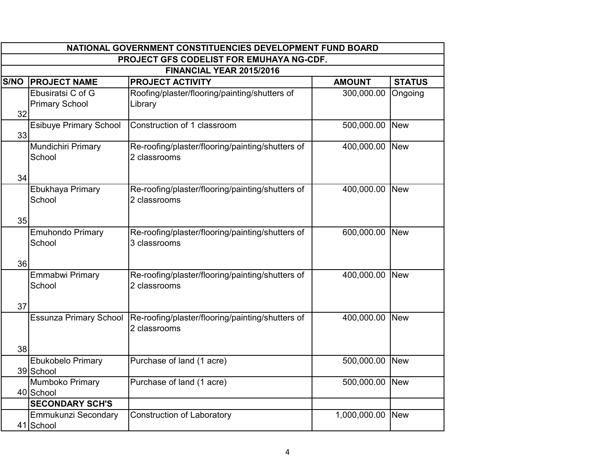|      | NATIONAL GOVERNMENT CONSTITUENCIES DEVELOPMENT FUND BOARD |                                                                  |                |               |
|------|-----------------------------------------------------------|------------------------------------------------------------------|----------------|---------------|
|      |                                                           | PROJECT GFS CODELIST FOR EMUHAYA NG-CDF.                         |                |               |
|      |                                                           | FINANCIAL YEAR 2015/2016                                         |                |               |
| S/NO | <b>PROJECT NAME</b>                                       | <b>PROJECT ACTIVITY</b>                                          | <b>AMOUNT</b>  | <b>STATUS</b> |
| 32   | Ebusiratsi C of G<br><b>Primary School</b>                | Roofing/plaster/flooring/painting/shutters of<br>Library         | 300,000.00     | Ongoing       |
| 33   | <b>Esibuye Primary School</b>                             | Construction of 1 classroom                                      | 500,000.00     | <b>New</b>    |
|      | Mundichiri Primary<br>School                              | Re-roofing/plaster/flooring/painting/shutters of<br>2 classrooms | 400,000.00 New |               |
| 34   | Ebukhaya Primary<br>School                                | Re-roofing/plaster/flooring/painting/shutters of<br>2 classrooms | 400,000.00     | <b>New</b>    |
| 35   |                                                           |                                                                  |                |               |
|      | <b>Emuhondo Primary</b><br>School                         | Re-roofing/plaster/flooring/painting/shutters of<br>3 classrooms | 600,000.00     | <b>New</b>    |
| 36   |                                                           |                                                                  |                |               |
|      | <b>Emmabwi Primary</b><br>School                          | Re-roofing/plaster/flooring/painting/shutters of<br>2 classrooms | 400,000.00     | <b>New</b>    |
| 37   |                                                           |                                                                  |                |               |
|      | <b>Essunza Primary School</b>                             | Re-roofing/plaster/flooring/painting/shutters of<br>2 classrooms | 400,000.00 New |               |
| 38   |                                                           |                                                                  |                |               |
|      | Ebukobelo Primary<br>39 School                            | Purchase of land (1 acre)                                        | 500,000.00     | <b>New</b>    |
|      | Mumboko Primary<br>40 School                              | Purchase of land (1 acre)                                        | 500,000.00     | <b>New</b>    |
|      | <b>SECONDARY SCH'S</b>                                    |                                                                  |                |               |
|      | Emmukunzi Secondary<br>41 School                          | <b>Construction of Laboratory</b>                                | 1,000,000.00   | <b>New</b>    |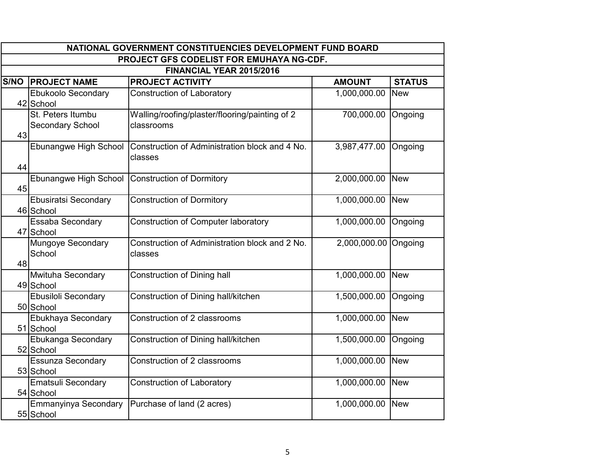|      | NATIONAL GOVERNMENT CONSTITUENCIES DEVELOPMENT FUND BOARD |                                                              |               |               |
|------|-----------------------------------------------------------|--------------------------------------------------------------|---------------|---------------|
|      |                                                           | <b>PROJECT GFS CODELIST FOR EMUHAYA NG-CDF.</b>              |               |               |
|      |                                                           | FINANCIAL YEAR 2015/2016                                     |               |               |
| S/NO | <b>PROJECT NAME</b>                                       | <b>PROJECT ACTIVITY</b>                                      | <b>AMOUNT</b> | <b>STATUS</b> |
|      | <b>Ebukoolo Secondary</b><br>42 School                    | <b>Construction of Laboratory</b>                            | 1,000,000.00  | <b>New</b>    |
| 43   | St. Peters Itumbu<br>Secondary School                     | Walling/roofing/plaster/flooring/painting of 2<br>classrooms | 700,000.00    | Ongoing       |
| 44   | Ebunangwe High School                                     | Construction of Administration block and 4 No.<br>classes    | 3,987,477.00  | Ongoing       |
| 45   | Ebunangwe High School                                     | <b>Construction of Dormitory</b>                             | 2,000,000.00  | <b>New</b>    |
|      | <b>Ebusiratsi Secondary</b><br>46 School                  | <b>Construction of Dormitory</b>                             | 1,000,000.00  | <b>New</b>    |
|      | Essaba Secondary<br>47 School                             | <b>Construction of Computer laboratory</b>                   | 1,000,000.00  | Ongoing       |
| 48   | Mungoye Secondary<br>School                               | Construction of Administration block and 2 No.<br>classes    | 2,000,000.00  | Ongoing       |
|      | Mwituha Secondary<br>49 School                            | <b>Construction of Dining hall</b>                           | 1,000,000.00  | <b>New</b>    |
|      | Ebusiloli Secondary<br>50 School                          | Construction of Dining hall/kitchen                          | 1,500,000.00  | Ongoing       |
|      | Ebukhaya Secondary<br>51 School                           | Construction of 2 classrooms                                 | 1,000,000.00  | <b>New</b>    |
|      | Ebukanga Secondary<br>52 School                           | Construction of Dining hall/kitchen                          | 1,500,000.00  | Ongoing       |
|      | <b>Essunza Secondary</b><br>53 School                     | Construction of 2 classrooms                                 | 1,000,000.00  | <b>New</b>    |
|      | <b>Ematsuli Secondary</b><br>54 School                    | Construction of Laboratory                                   | 1,000,000.00  | <b>New</b>    |
|      | Emmanyinya Secondary<br>55 School                         | Purchase of land (2 acres)                                   | 1,000,000.00  | <b>New</b>    |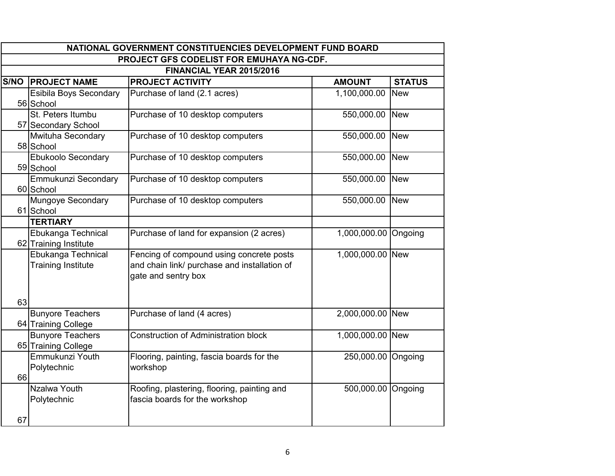|      | NATIONAL GOVERNMENT CONSTITUENCIES DEVELOPMENT FUND BOARD |                                                                                                                 |                      |               |  |
|------|-----------------------------------------------------------|-----------------------------------------------------------------------------------------------------------------|----------------------|---------------|--|
|      |                                                           | PROJECT GFS CODELIST FOR EMUHAYA NG-CDF.                                                                        |                      |               |  |
|      |                                                           | FINANCIAL YEAR 2015/2016                                                                                        |                      |               |  |
| S/NO | <b>PROJECT NAME</b>                                       | <b>PROJECT ACTIVITY</b>                                                                                         | <b>AMOUNT</b>        | <b>STATUS</b> |  |
|      | Esibila Boys Secondary<br>56 School                       | Purchase of land (2.1 acres)                                                                                    | 1,100,000.00         | <b>New</b>    |  |
|      | St. Peters Itumbu<br>57 Secondary School                  | Purchase of 10 desktop computers                                                                                | 550,000.00           | <b>T</b> New  |  |
|      | Mwituha Secondary<br>58 School                            | Purchase of 10 desktop computers                                                                                | 550,000.00           | <b>New</b>    |  |
|      | <b>Ebukoolo Secondary</b><br>59 School                    | Purchase of 10 desktop computers                                                                                | 550,000.00           | <b>New</b>    |  |
|      | Emmukunzi Secondary<br>60 School                          | Purchase of 10 desktop computers                                                                                | 550,000.00           | <b>New</b>    |  |
|      | Mungoye Secondary<br>61 School                            | Purchase of 10 desktop computers                                                                                | 550,000.00           | <b>New</b>    |  |
|      | <b>TERTIARY</b>                                           |                                                                                                                 |                      |               |  |
|      | Ebukanga Technical<br>62 Training Institute               | Purchase of land for expansion (2 acres)                                                                        | 1,000,000.00 Ongoing |               |  |
|      | Ebukanga Technical<br><b>Training Institute</b>           | Fencing of compound using concrete posts<br>and chain link/ purchase and installation of<br>gate and sentry box | 1,000,000.00 New     |               |  |
| 63   |                                                           |                                                                                                                 |                      |               |  |
|      | <b>Bunyore Teachers</b><br>64 Training College            | Purchase of land (4 acres)                                                                                      | 2,000,000.00 New     |               |  |
|      | <b>Bunyore Teachers</b><br>65 Training College            | <b>Construction of Administration block</b>                                                                     | 1,000,000.00 New     |               |  |
| 66   | Emmukunzi Youth<br>Polytechnic                            | Flooring, painting, fascia boards for the<br>workshop                                                           | 250,000.00 Ongoing   |               |  |
|      | Nzalwa Youth<br>Polytechnic                               | Roofing, plastering, flooring, painting and<br>fascia boards for the workshop                                   | 500,000.00 Ongoing   |               |  |
| 67   |                                                           |                                                                                                                 |                      |               |  |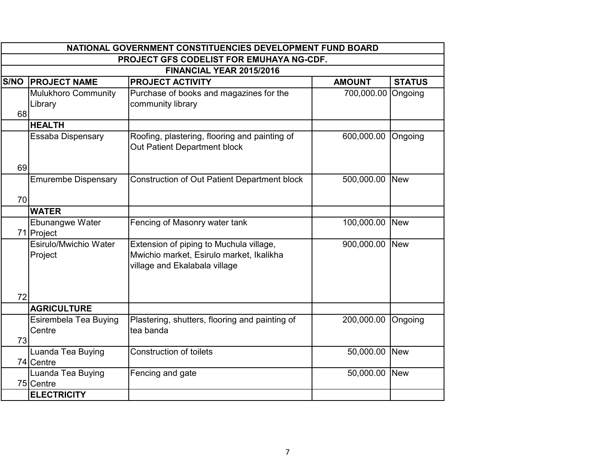|      | NATIONAL GOVERNMENT CONSTITUENCIES DEVELOPMENT FUND BOARD |                                                                               |                    |               |  |
|------|-----------------------------------------------------------|-------------------------------------------------------------------------------|--------------------|---------------|--|
|      | PROJECT GFS CODELIST FOR EMUHAYA NG-CDF.                  |                                                                               |                    |               |  |
|      |                                                           | FINANCIAL YEAR 2015/2016                                                      |                    |               |  |
| S/NO | <b>PROJECT NAME</b>                                       | <b>PROJECT ACTIVITY</b>                                                       | <b>AMOUNT</b>      | <b>STATUS</b> |  |
|      | Mulukhoro Community                                       | Purchase of books and magazines for the                                       | 700,000.00 Ongoing |               |  |
|      | Library                                                   | community library                                                             |                    |               |  |
| 68   |                                                           |                                                                               |                    |               |  |
|      | <b>HEALTH</b>                                             |                                                                               |                    |               |  |
|      | Essaba Dispensary                                         | Roofing, plastering, flooring and painting of<br>Out Patient Department block | 600,000.00         | Ongoing       |  |
| 69   |                                                           |                                                                               |                    |               |  |
|      | <b>Emurembe Dispensary</b>                                | <b>Construction of Out Patient Department block</b>                           | 500,000.00         | <b>New</b>    |  |
| 70   |                                                           |                                                                               |                    |               |  |
|      | <b>WATER</b>                                              |                                                                               |                    |               |  |
|      | Ebunangwe Water                                           | Fencing of Masonry water tank                                                 | 100,000.00         | <b>New</b>    |  |
|      | 71 Project                                                |                                                                               |                    |               |  |
|      | Esirulo/Mwichio Water                                     | Extension of piping to Muchula village,                                       | 900,000.00         | <b>New</b>    |  |
|      | Project                                                   | Mwichio market, Esirulo market, Ikalikha                                      |                    |               |  |
|      |                                                           | village and Ekalabala village                                                 |                    |               |  |
|      |                                                           |                                                                               |                    |               |  |
| 72   |                                                           |                                                                               |                    |               |  |
|      | <b>AGRICULTURE</b>                                        |                                                                               |                    |               |  |
|      | Esirembela Tea Buying                                     | Plastering, shutters, flooring and painting of                                | 200,000.00         | Ongoing       |  |
|      | Centre                                                    | tea banda                                                                     |                    |               |  |
| 73   |                                                           |                                                                               |                    |               |  |
|      | Luanda Tea Buying                                         | <b>Construction of toilets</b>                                                | 50,000.00          | <b>New</b>    |  |
|      | 74 Centre                                                 |                                                                               |                    |               |  |
|      | Luanda Tea Buying                                         | Fencing and gate                                                              | 50,000.00          | <b>New</b>    |  |
|      | 75 Centre                                                 |                                                                               |                    |               |  |
|      | <b>ELECTRICITY</b>                                        |                                                                               |                    |               |  |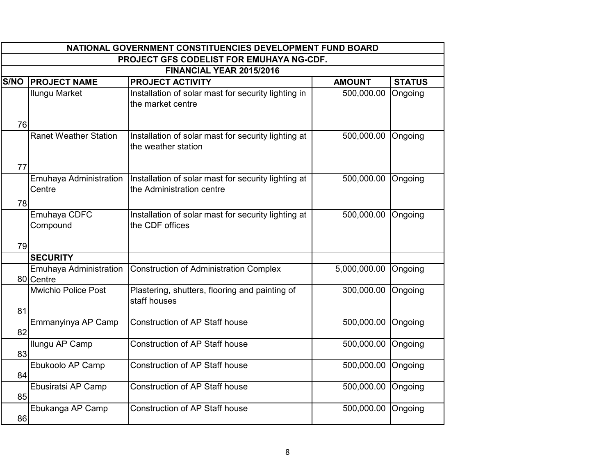|             | NATIONAL GOVERNMENT CONSTITUENCIES DEVELOPMENT FUND BOARD |                                                                                  |               |               |  |
|-------------|-----------------------------------------------------------|----------------------------------------------------------------------------------|---------------|---------------|--|
|             |                                                           | <b>PROJECT GFS CODELIST FOR EMUHAYA NG-CDF.</b>                                  |               |               |  |
|             |                                                           | FINANCIAL YEAR 2015/2016                                                         |               |               |  |
| <b>S/NO</b> | <b>PROJECT NAME</b>                                       | <b>PROJECT ACTIVITY</b>                                                          | <b>AMOUNT</b> | <b>STATUS</b> |  |
| 76          | <b>Ilungu Market</b>                                      | Installation of solar mast for security lighting in<br>the market centre         | 500,000.00    | Ongoing       |  |
|             | <b>Ranet Weather Station</b>                              | Installation of solar mast for security lighting at<br>the weather station       | 500,000.00    | Ongoing       |  |
| 77          |                                                           |                                                                                  |               |               |  |
| 78          | Emuhaya Administration<br>Centre                          | Installation of solar mast for security lighting at<br>the Administration centre | 500,000.00    | Ongoing       |  |
| 79          | Emuhaya CDFC<br>Compound                                  | Installation of solar mast for security lighting at<br>the CDF offices           | 500,000.00    | Ongoing       |  |
|             | <b>SECURITY</b>                                           |                                                                                  |               |               |  |
|             | Emuhaya Administration<br>80 Centre                       | <b>Construction of Administration Complex</b>                                    | 5,000,000.00  | Ongoing       |  |
| 81          | <b>Mwichio Police Post</b>                                | Plastering, shutters, flooring and painting of<br>staff houses                   | 300,000.00    | Ongoing       |  |
| 82          | Emmanyinya AP Camp                                        | <b>Construction of AP Staff house</b>                                            | 500,000.00    | Ongoing       |  |
| 83          | Ilungu AP Camp                                            | <b>Construction of AP Staff house</b>                                            | 500,000.00    | Ongoing       |  |
| 84          | Ebukoolo AP Camp                                          | <b>Construction of AP Staff house</b>                                            | 500,000.00    | Ongoing       |  |
| 85          | Ebusiratsi AP Camp                                        | <b>Construction of AP Staff house</b>                                            | 500,000.00    | Ongoing       |  |
| 86          | Ebukanga AP Camp                                          | <b>Construction of AP Staff house</b>                                            | 500,000.00    | Ongoing       |  |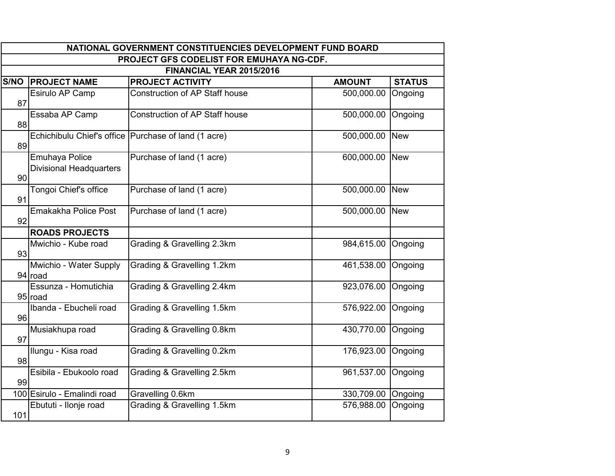|                                     | NATIONAL GOVERNMENT CONSTITUENCIES DEVELOPMENT FUND BOARD |                                                      |               |               |
|-------------------------------------|-----------------------------------------------------------|------------------------------------------------------|---------------|---------------|
|                                     |                                                           | <b>PROJECT GFS CODELIST FOR EMUHAYA NG-CDF.</b>      |               |               |
|                                     |                                                           | FINANCIAL YEAR 2015/2016                             |               |               |
| $\overline{\mathsf{S}}/\mathsf{NO}$ | <b>PROJECT NAME</b>                                       | <b>PROJECT ACTIVITY</b>                              | <b>AMOUNT</b> | <b>STATUS</b> |
| 87                                  | Esirulo AP Camp                                           | <b>Construction of AP Staff house</b>                | 500,000.00    | Ongoing       |
| 88                                  | Essaba AP Camp                                            | <b>Construction of AP Staff house</b>                | 500,000.00    | Ongoing       |
| 89                                  |                                                           | Echichibulu Chief's office Purchase of land (1 acre) | 500,000.00    | <b>New</b>    |
| 90                                  | Emuhaya Police<br><b>Divisional Headquarters</b>          | Purchase of land (1 acre)                            | 600,000.00    | <b>New</b>    |
| 91                                  | Tongoi Chief's office                                     | Purchase of land (1 acre)                            | 500,000.00    | <b>New</b>    |
| 92                                  | <b>Emakakha Police Post</b>                               | Purchase of land (1 acre)                            | 500,000.00    | <b>New</b>    |
|                                     | <b>ROADS PROJECTS</b>                                     |                                                      |               |               |
| 93                                  | Mwichio - Kube road                                       | Grading & Gravelling 2.3km                           | 984,615.00    | Ongoing       |
|                                     | Mwichio - Water Supply<br>94 road                         | Grading & Gravelling 1.2km                           | 461,538.00    | Ongoing       |
|                                     | Essunza - Homutichia<br>95 road                           | Grading & Gravelling 2.4km                           | 923,076.00    | Ongoing       |
| 96                                  | Ibanda - Ebucheli road                                    | Grading & Gravelling 1.5km                           | 576,922.00    | Ongoing       |
| 97                                  | Musiakhupa road                                           | Grading & Gravelling 0.8km                           | 430,770.00    | Ongoing       |
| 98                                  | Ilungu - Kisa road                                        | Grading & Gravelling 0.2km                           | 176,923.00    | Ongoing       |
| 99                                  | Esibila - Ebukoolo road                                   | Grading & Gravelling 2.5km                           | 961,537.00    | Ongoing       |
|                                     | 100 Esirulo - Emalindi road                               | Gravelling 0.6km                                     | 330,709.00    | Ongoing       |
| 101                                 | Ebututi - Ilonje road                                     | Grading & Gravelling 1.5km                           | 576,988.00    | Ongoing       |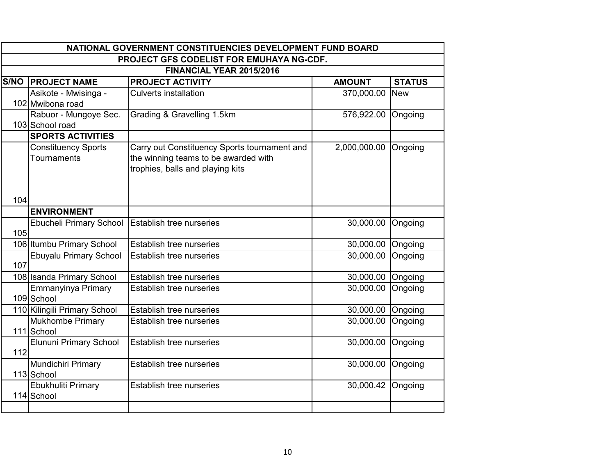|             | NATIONAL GOVERNMENT CONSTITUENCIES DEVELOPMENT FUND BOARD |                                              |                   |               |
|-------------|-----------------------------------------------------------|----------------------------------------------|-------------------|---------------|
|             |                                                           | PROJECT GFS CODELIST FOR EMUHAYA NG-CDF.     |                   |               |
|             |                                                           | FINANCIAL YEAR 2015/2016                     |                   |               |
| <b>S/NO</b> | <b>PROJECT NAME</b>                                       | <b>PROJECT ACTIVITY</b>                      | <b>AMOUNT</b>     | <b>STATUS</b> |
|             | Asikote - Mwisinga -                                      | <b>Culverts installation</b>                 | 370,000.00        | <b>New</b>    |
|             | 102 Mwibona road                                          |                                              |                   |               |
|             | Rabuor - Mungoye Sec.                                     | Grading & Gravelling 1.5km                   | 576,922.00        | Ongoing       |
|             | 103 School road                                           |                                              |                   |               |
|             | <b>SPORTS ACTIVITIES</b>                                  |                                              |                   |               |
|             | <b>Constituency Sports</b>                                | Carry out Constituency Sports tournament and | 2,000,000.00      | Ongoing       |
|             | Tournaments                                               | the winning teams to be awarded with         |                   |               |
|             |                                                           | trophies, balls and playing kits             |                   |               |
|             |                                                           |                                              |                   |               |
| 104         |                                                           |                                              |                   |               |
|             | <b>ENVIRONMENT</b>                                        |                                              |                   |               |
|             | Ebucheli Primary School                                   | Establish tree nurseries                     | 30,000.00         | Ongoing       |
| 105         |                                                           |                                              |                   |               |
|             | 106 Itumbu Primary School                                 | Establish tree nurseries                     | 30,000.00         | Ongoing       |
|             | Ebuyalu Primary School                                    | Establish tree nurseries                     | 30,000.00         | Ongoing       |
| 107         |                                                           |                                              |                   |               |
|             | 108 Isanda Primary School                                 | Establish tree nurseries                     | 30,000.00         | Ongoing       |
|             | Emmanyinya Primary                                        | Establish tree nurseries                     | 30,000.00         | Ongoing       |
|             | 109 School                                                |                                              |                   |               |
|             | 110 Kilingili Primary School                              | Establish tree nurseries                     | 30,000.00 Ongoing |               |
|             | Mukhombe Primary                                          | <b>Establish tree nurseries</b>              | 30,000.00         | Ongoing       |
|             | 111 School                                                |                                              |                   |               |
|             | Elununi Primary School                                    | Establish tree nurseries                     | 30,000.00         | Ongoing       |
| 112         |                                                           |                                              |                   |               |
|             | Mundichiri Primary                                        | <b>Establish tree nurseries</b>              | 30,000.00         | Ongoing       |
|             | 113 School                                                |                                              |                   |               |
|             | Ebukhuliti Primary                                        | Establish tree nurseries                     | 30,000.42         | Ongoing       |
|             | 114 School                                                |                                              |                   |               |
|             |                                                           |                                              |                   |               |